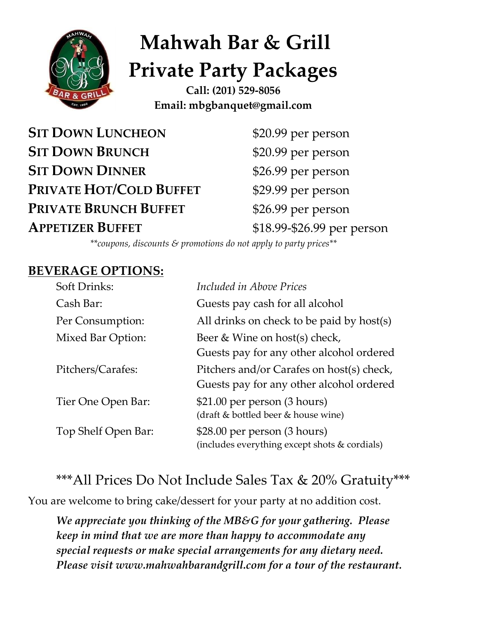

# **Mahwah Bar & Grill Private Party Packages**

**Call: (201) 529-8056 Email: mbgbanquet@gmail.com**

**SIT DOWN LUNCHEON** \$20.99 per person **SIT DOWN BRUNCH** \$20.99 per person **SIT DOWN DINNER** \$26.99 per person **PRIVATE HOT/COLD BUFFET** \$29.99 per person **PRIVATE BRUNCH BUFFET** \$26.99 per person **APPETIZER BUFFET** \$18.99-\$26.99 per person

*\*\*coupons, discounts & promotions do not apply to party prices\*\**

#### **BEVERAGE OPTIONS:**

| Soft Drinks:        | Included in Above Prices                                                              |
|---------------------|---------------------------------------------------------------------------------------|
| Cash Bar:           | Guests pay cash for all alcohol                                                       |
| Per Consumption:    | All drinks on check to be paid by host(s)                                             |
| Mixed Bar Option:   | Beer & Wine on host(s) check,<br>Guests pay for any other alcohol ordered             |
| Pitchers/Carafes:   | Pitchers and/or Carafes on host(s) check,<br>Guests pay for any other alcohol ordered |
| Tier One Open Bar:  | \$21.00 per person (3 hours)<br>(draft & bottled beer & house wine)                   |
| Top Shelf Open Bar: | \$28.00 per person (3 hours)<br>(includes everything except shots & cordials)         |

## \*\*\*All Prices Do Not Include Sales Tax & 20% Gratuity\*\*\*

You are welcome to bring cake/dessert for your party at no addition cost.

*We appreciate you thinking of the MB&G for your gathering. Please keep in mind that we are more than happy to accommodate any special requests or make special arrangements for any dietary need. Please visit www.mahwahbarandgrill.com for a tour of the restaurant.*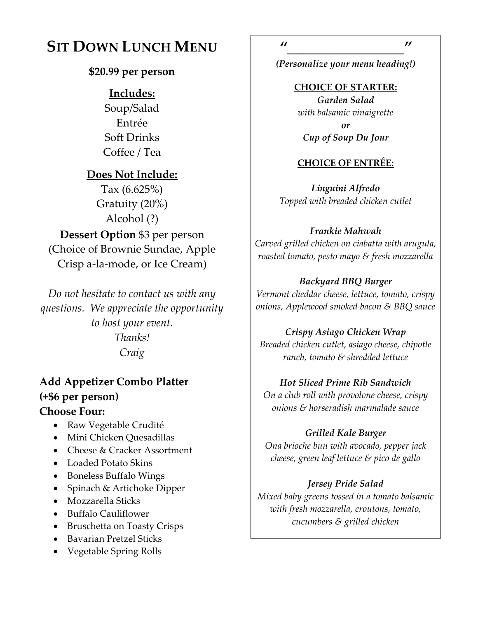## **SIT DOWN LUNCH MENU**

#### **\$20.99 per person**

#### **Includes:**

Soup/Salad Entrée Soft Drinks Coffee / Tea

#### **Does Not Include:**

Tax (6.625%) Gratuity (20%) Alcohol (?) **Dessert Option** \$3 per person (Choice of Brownie Sundae, Apple Crisp a-la-mode, or Ice Cream)

*Do not hesitate to contact us with any questions. We appreciate the opportunity to host your event. Thanks! Craig* 

### **Add Appetizer Combo Platter (+\$6 per person)**

#### **Choose Four:**

- Raw Vegetable Crudité
- Mini Chicken Quesadillas
- Cheese & Cracker Assortment
- Loaded Potato Skins
- Boneless Buffalo Wings
- Spinach & Artichoke Dipper
- Mozzarella Sticks
- Buffalo Cauliflower
- Bruschetta on Toasty Crisps
- Bavarian Pretzel Sticks
- Vegetable Spring Rolls

*(Personalize your menu heading!)*

**CHOICE OF STARTER:** *Garden Salad with balsamic vinaigrette or*

#### *Cup of Soup Du Jour*

#### **CHOICE OF ENTRÉE:**

*Linguini Alfredo Topped with breaded chicken cutlet*

#### *Frankie Mahwah*

*Carved grilled chicken on ciabatta with arugula, roasted tomato, pesto mayo & fresh mozzarella*

#### *Backyard BBQ Burger*

*Vermont cheddar cheese, lettuce, tomato, crispy onions, Applewood smoked bacon & BBQ sauce* 

#### *Crispy Asiago Chicken Wrap*

*Breaded chicken cutlet, asiago cheese, chipotle ranch, tomato & shredded lettuce*

#### *Hot Sliced Prime Rib Sandwich*

*On a club roll with provolone cheese, crispy onions & horseradish marmalade sauce*

#### *Grilled Kale Burger*

*Ona brioche bun with avocado, pepper jack cheese, green leaf lettuce & pico de gallo*

#### *Jersey Pride Salad*

*Mixed baby greens tossed in a tomato balsamic with fresh mozzarella, croutons, tomato, cucumbers & grilled chicken*

*"\_\_\_\_\_\_\_\_\_\_\_\_\_\_\_"*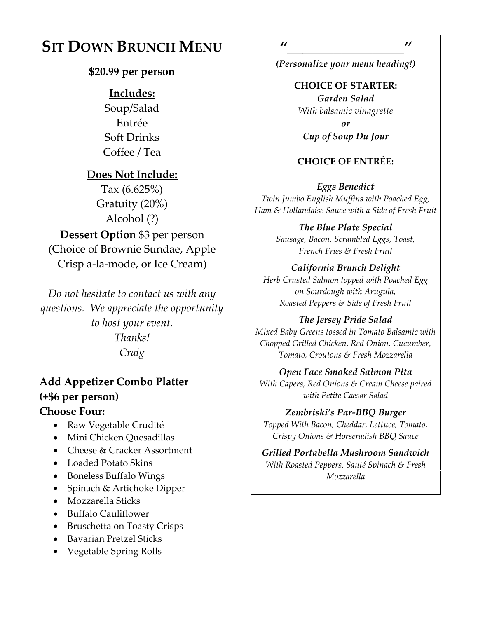## **SIT DOWN BRUNCH MENU**

#### **\$20.99 per person**

#### **Includes:**

Soup/Salad Entrée Soft Drinks Coffee / Tea

#### **Does Not Include:**

Tax (6.625%) Gratuity (20%) Alcohol (?) **Dessert Option** \$3 per person (Choice of Brownie Sundae, Apple Crisp a-la-mode, or Ice Cream)

*Do not hesitate to contact us with any questions. We appreciate the opportunity to host your event. Thanks! Craig* 

## **Add Appetizer Combo Platter (+\$6 per person)**

#### **Choose Four:**

- Raw Vegetable Crudité
- Mini Chicken Quesadillas
- Cheese & Cracker Assortment
- Loaded Potato Skins
- Boneless Buffalo Wings
- Spinach & Artichoke Dipper
- Mozzarella Sticks
- Buffalo Cauliflower
- Bruschetta on Toasty Crisps
- Bavarian Pretzel Sticks
- Vegetable Spring Rolls

*(Personalize your menu heading!)*

**CHOICE OF STARTER:** *Garden Salad With balsamic vinagrette or Cup of Soup Du Jour*

#### **CHOICE OF ENTRÉE:**

*Eggs Benedict Twin Jumbo English Muffins with Poached Egg, Ham & Hollandaise Sauce with a Side of Fresh Fruit*

> *The Blue Plate Special Sausage, Bacon, Scrambled Eggs, Toast, French Fries & Fresh Fruit*

#### *California Brunch Delight*

*Herb Crusted Salmon topped with Poached Egg on Sourdough with Arugula, Roasted Peppers & Side of Fresh Fruit*

#### *The Jersey Pride Salad*

*Mixed Baby Greens tossed in Tomato Balsamic with Chopped Grilled Chicken, Red Onion, Cucumber, Tomato, Croutons & Fresh Mozzarella*

#### *Open Face Smoked Salmon Pita*

*With Capers, Red Onions & Cream Cheese paired with Petite Caesar Salad*

#### *Zembriski's Par-BBQ Burger*

*Topped With Bacon, Cheddar, Lettuce, Tomato, Crispy Onions & Horseradish BBQ Sauce*

#### *Grilled Portabella Mushroom Sandwich With Roasted Peppers, Sauté Spinach & Fresh Mozzarella*

*"\_\_\_\_\_\_\_\_\_\_\_\_\_\_\_"*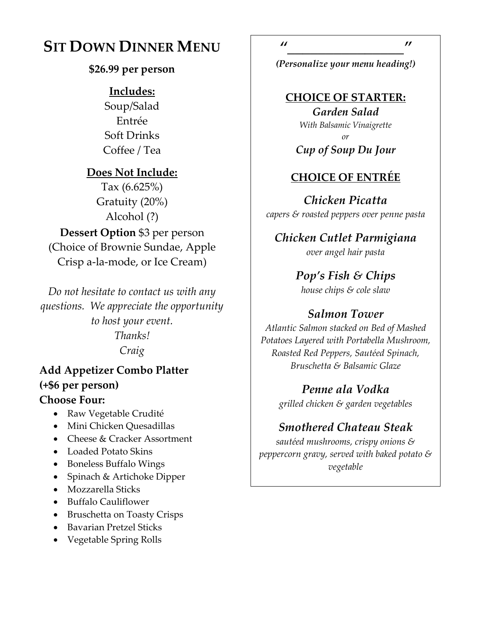## **SIT DOWN DINNER MENU**

#### **\$26.99 per person**

#### **Includes:**

Soup/Salad Entrée Soft Drinks Coffee / Tea

#### **Does Not Include:**

Tax (6.625%) Gratuity (20%) Alcohol (?) **Dessert Option** \$3 per person (Choice of Brownie Sundae, Apple Crisp a-la-mode, or Ice Cream)

*Do not hesitate to contact us with any questions. We appreciate the opportunity to host your event. Thanks! Craig* 

## **Add Appetizer Combo Platter (+\$6 per person)**

#### **Choose Four:**

- Raw Vegetable Crudité
- Mini Chicken Quesadillas
- Cheese & Cracker Assortment
- Loaded Potato Skins
- Boneless Buffalo Wings
- Spinach & Artichoke Dipper
- Mozzarella Sticks
- Buffalo Cauliflower
- Bruschetta on Toasty Crisps
- Bavarian Pretzel Sticks
- Vegetable Spring Rolls

*"\_\_\_\_\_\_\_\_\_\_\_\_\_\_\_"*

*(Personalize your menu heading!)*

#### **CHOICE OF STARTER:**

*Garden Salad With Balsamic Vinaigrette or Cup of Soup Du Jour*

#### **CHOICE OF ENTRÉE**

*Chicken Picatta capers & roasted peppers over penne pasta*

*Chicken Cutlet Parmigiana over angel hair pasta* 

> *Pop's Fish & Chips house chips & cole slaw*

#### *Salmon Tower*

*Atlantic Salmon stacked on Bed of Mashed Potatoes Layered with Portabella Mushroom, Roasted Red Peppers, Sautéed Spinach, Bruschetta & Balsamic Glaze*

> *Penne ala Vodka grilled chicken & garden vegetables*

#### *Smothered Chateau Steak*

*sautéed mushrooms, crispy onions & peppercorn gravy, served with baked potato & vegetable*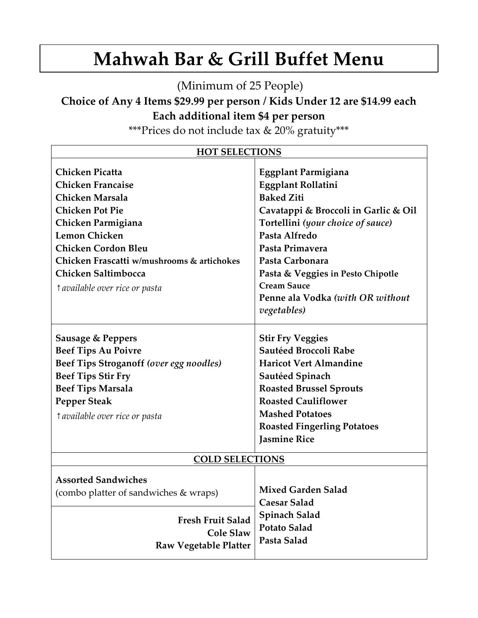## **Mahwah Bar & Grill Buffet Menu**

(Minimum of 25 People)

**Choice of Any 4 Items \$29.99 per person / Kids Under 12 are \$14.99 each Each additional item \$4 per person**

\*\*\*Prices do not include tax & 20% gratuity\*\*\*

| <b>HOT SELECTIONS</b>                                                                                                                                                                                                                                                              |                                                                                                                                                                                                                                                                                                                         |  |  |  |
|------------------------------------------------------------------------------------------------------------------------------------------------------------------------------------------------------------------------------------------------------------------------------------|-------------------------------------------------------------------------------------------------------------------------------------------------------------------------------------------------------------------------------------------------------------------------------------------------------------------------|--|--|--|
| <b>Chicken Picatta</b><br><b>Chicken Francaise</b><br>Chicken Marsala<br><b>Chicken Pot Pie</b><br>Chicken Parmigiana<br><b>Lemon Chicken</b><br><b>Chicken Cordon Bleu</b><br>Chicken Frascatti w/mushrooms & artichokes<br>Chicken Saltimbocca<br>t available over rice or pasta | Eggplant Parmigiana<br><b>Eggplant Rollatini</b><br><b>Baked Ziti</b><br>Cavatappi & Broccoli in Garlic & Oil<br>Tortellini (your choice of sauce)<br>Pasta Alfredo<br>Pasta Primavera<br>Pasta Carbonara<br>Pasta & Veggies in Pesto Chipotle<br><b>Cream Sauce</b><br>Penne ala Vodka (with OR without<br>vegetables) |  |  |  |
| <b>Sausage &amp; Peppers</b><br><b>Beef Tips Au Poivre</b>                                                                                                                                                                                                                         | <b>Stir Fry Veggies</b><br>Sautéed Broccoli Rabe                                                                                                                                                                                                                                                                        |  |  |  |
| Beef Tips Stroganoff (over egg noodles)                                                                                                                                                                                                                                            | <b>Haricot Vert Almandine</b>                                                                                                                                                                                                                                                                                           |  |  |  |
| <b>Beef Tips Stir Fry</b>                                                                                                                                                                                                                                                          | Sautéed Spinach                                                                                                                                                                                                                                                                                                         |  |  |  |
| <b>Beef Tips Marsala</b>                                                                                                                                                                                                                                                           | <b>Roasted Brussel Sprouts</b>                                                                                                                                                                                                                                                                                          |  |  |  |
| <b>Pepper Steak</b>                                                                                                                                                                                                                                                                | <b>Roasted Cauliflower</b>                                                                                                                                                                                                                                                                                              |  |  |  |
| <i><u>A</u></i> available over rice or pasta                                                                                                                                                                                                                                       | <b>Mashed Potatoes</b>                                                                                                                                                                                                                                                                                                  |  |  |  |
|                                                                                                                                                                                                                                                                                    | <b>Roasted Fingerling Potatoes</b>                                                                                                                                                                                                                                                                                      |  |  |  |
|                                                                                                                                                                                                                                                                                    | Jasmine Rice                                                                                                                                                                                                                                                                                                            |  |  |  |
| <b>COLD SELECTIONS</b>                                                                                                                                                                                                                                                             |                                                                                                                                                                                                                                                                                                                         |  |  |  |
| <b>Assorted Sandwiches</b><br>(combo platter of sandwiches & wraps)<br><b>Fresh Fruit Salad</b><br><b>Cole Slaw</b>                                                                                                                                                                | <b>Mixed Garden Salad</b><br><b>Caesar Salad</b><br>Spinach Salad<br><b>Potato Salad</b>                                                                                                                                                                                                                                |  |  |  |
| <b>Raw Vegetable Platter</b>                                                                                                                                                                                                                                                       | Pasta Salad                                                                                                                                                                                                                                                                                                             |  |  |  |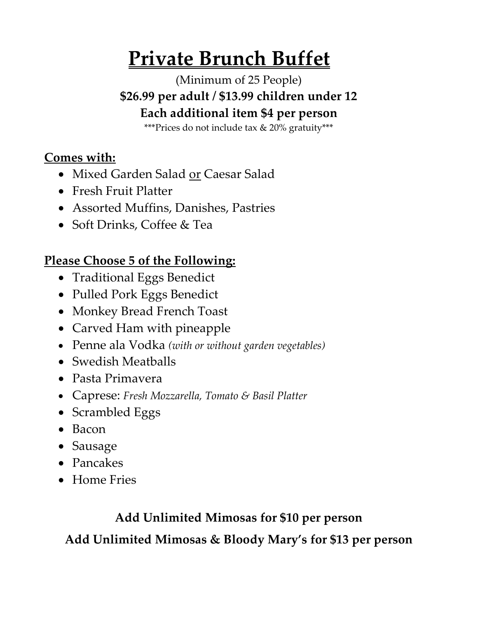## **Private Brunch Buffet**

(Minimum of 25 People) **\$26.99 per adult / \$13.99 children under 12 Each additional item \$4 per person** 

\*\*\*Prices do not include tax & 20% gratuity\*\*\*

## **Comes with:**

- Mixed Garden Salad or Caesar Salad
- Fresh Fruit Platter
- Assorted Muffins, Danishes, Pastries
- Soft Drinks, Coffee & Tea

## **Please Choose 5 of the Following:**

- Traditional Eggs Benedict
- Pulled Pork Eggs Benedict
- Monkey Bread French Toast
- Carved Ham with pineapple
- Penne ala Vodka *(with or without garden vegetables)*
- Swedish Meatballs
- Pasta Primavera
- Caprese: *Fresh Mozzarella, Tomato & Basil Platter*
- Scrambled Eggs
- Bacon
- Sausage
- Pancakes
- Home Fries

## **Add Unlimited Mimosas for \$10 per person**

**Add Unlimited Mimosas & Bloody Mary's for \$13 per person**